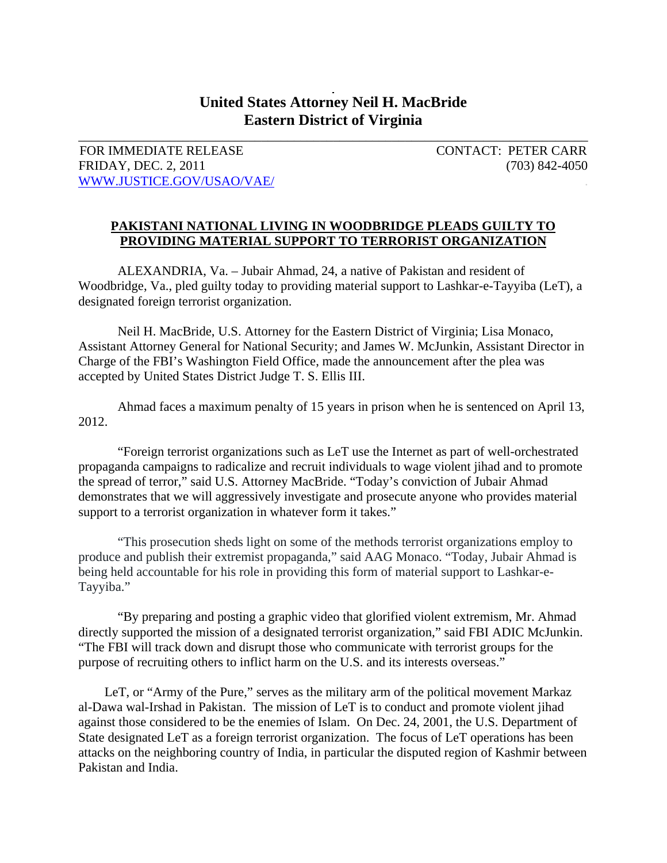## **United States Attorney Neil H. MacBride Eastern District of Virginia**

\_\_\_\_\_\_\_\_\_\_\_\_\_\_\_\_\_\_\_\_\_\_\_\_\_\_\_\_\_\_\_\_\_\_\_\_\_\_\_\_\_\_\_\_\_\_\_\_\_\_\_\_\_\_\_\_\_\_\_\_\_\_\_\_\_\_\_\_\_\_\_\_\_\_\_\_\_\_

FOR IMMEDIATE RELEASE CONTACT: PETER CARR FRIDAY, DEC. 2, 2011 (703) 842-4050 WWW.JUSTICE.GOV/USAO/VAE/ .

## **PAKISTANI NATIONAL LIVING IN WOODBRIDGE PLEADS GUILTY TO PROVIDING MATERIAL SUPPORT TO TERRORIST ORGANIZATION**

ALEXANDRIA, Va. – Jubair Ahmad, 24, a native of Pakistan and resident of Woodbridge, Va., pled guilty today to providing material support to Lashkar-e-Tayyiba (LeT), a designated foreign terrorist organization.

Neil H. MacBride, U.S. Attorney for the Eastern District of Virginia; Lisa Monaco, Assistant Attorney General for National Security; and James W. McJunkin, Assistant Director in Charge of the FBI's Washington Field Office, made the announcement after the plea was accepted by United States District Judge T. S. Ellis III.

Ahmad faces a maximum penalty of 15 years in prison when he is sentenced on April 13, 2012.

"Foreign terrorist organizations such as LeT use the Internet as part of well-orchestrated propaganda campaigns to radicalize and recruit individuals to wage violent jihad and to promote the spread of terror," said U.S. Attorney MacBride. "Today's conviction of Jubair Ahmad demonstrates that we will aggressively investigate and prosecute anyone who provides material support to a terrorist organization in whatever form it takes."

"This prosecution sheds light on some of the methods terrorist organizations employ to produce and publish their extremist propaganda," said AAG Monaco. "Today, Jubair Ahmad is being held accountable for his role in providing this form of material support to Lashkar-e-Tayyiba."

"By preparing and posting a graphic video that glorified violent extremism, Mr. Ahmad directly supported the mission of a designated terrorist organization," said FBI ADIC McJunkin. "The FBI will track down and disrupt those who communicate with terrorist groups for the purpose of recruiting others to inflict harm on the U.S. and its interests overseas."

 LeT, or "Army of the Pure," serves as the military arm of the political movement Markaz al-Dawa wal-Irshad in Pakistan. The mission of LeT is to conduct and promote violent jihad against those considered to be the enemies of Islam. On Dec. 24, 2001, the U.S. Department of State designated LeT as a foreign terrorist organization. The focus of LeT operations has been attacks on the neighboring country of India, in particular the disputed region of Kashmir between Pakistan and India.